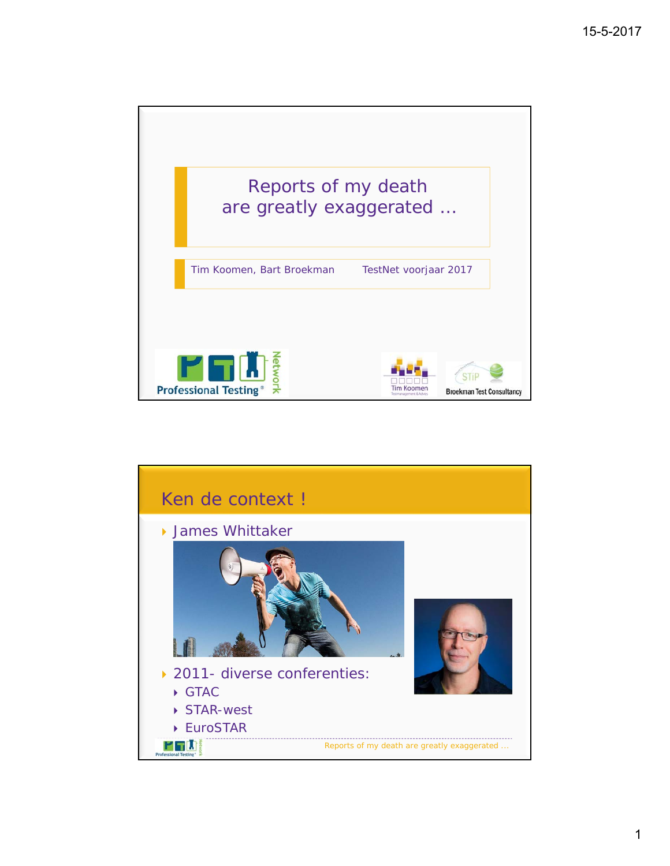

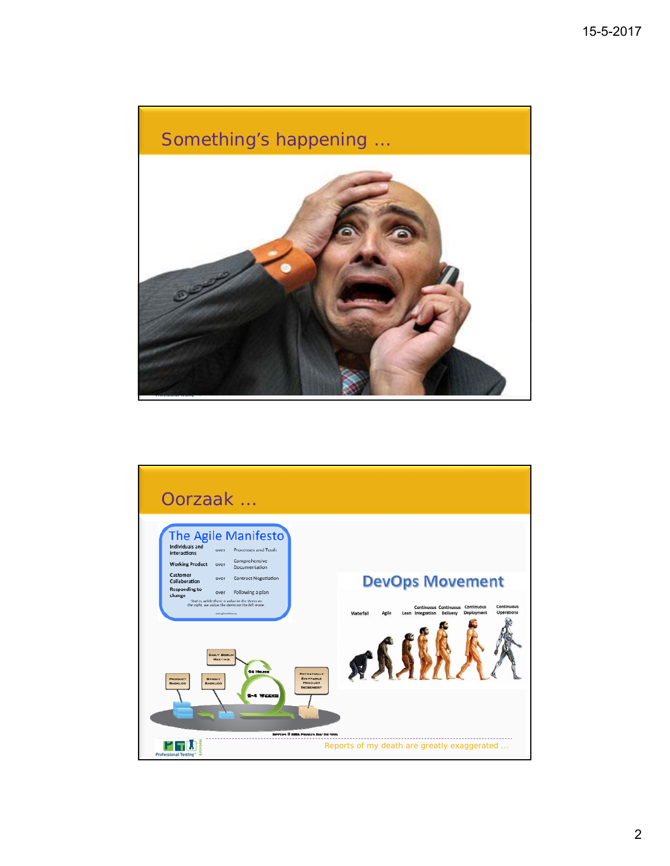## Reports of my death are greatly exaggerated ... Something's happening … Enkele recente titels van EuroSTAR en TestNet … Het einde van het beroep van tester

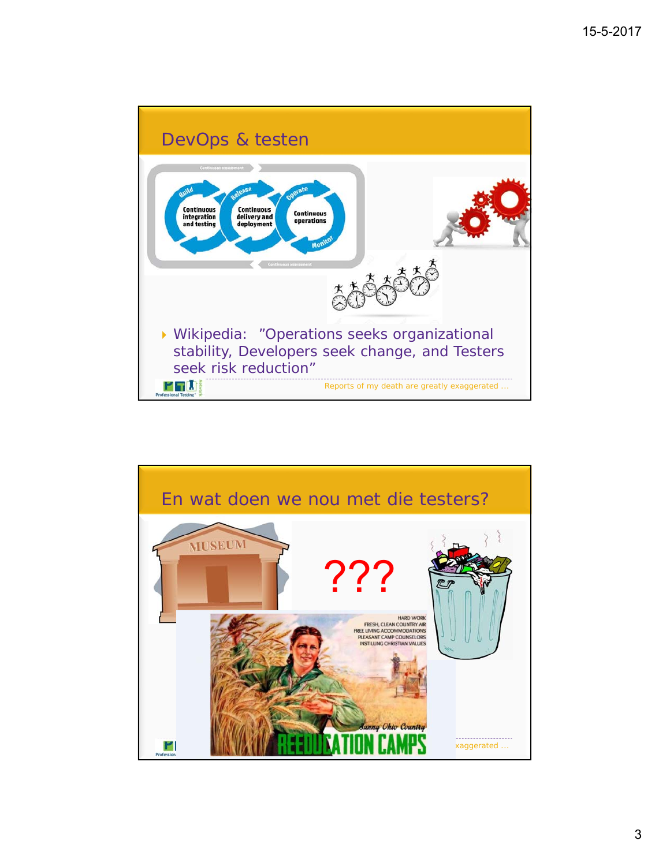

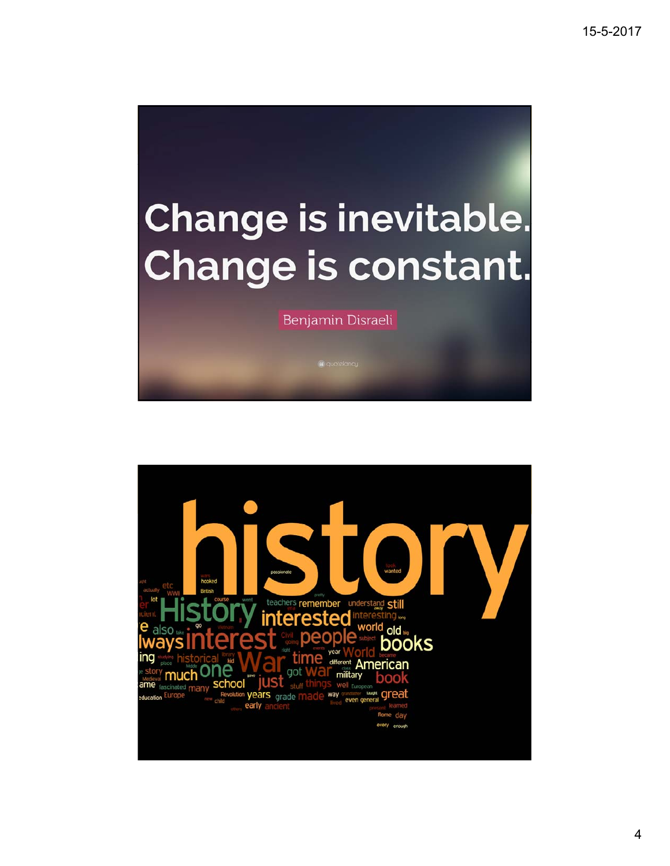## Change is inevitable. Change is constant.

Benjamin Disraeli

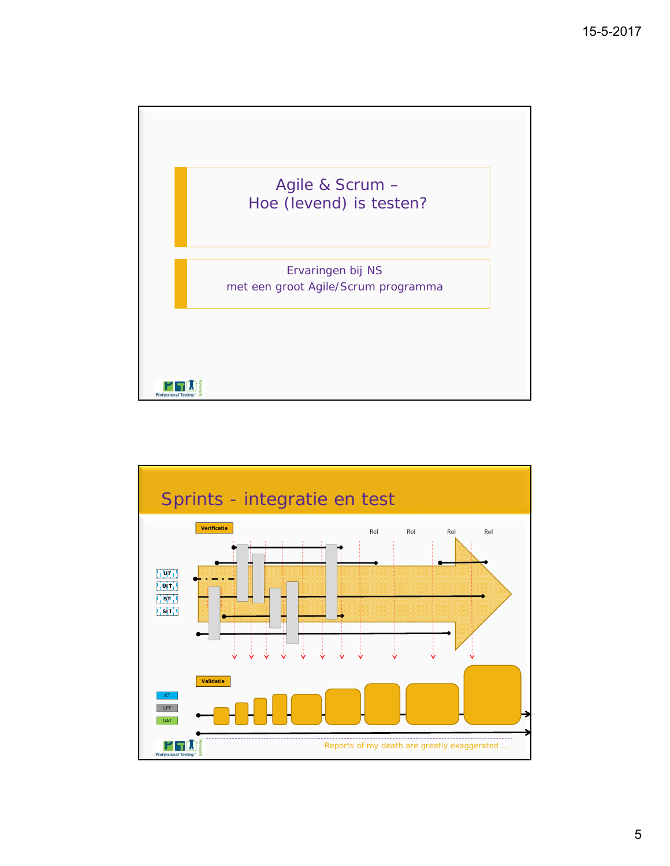

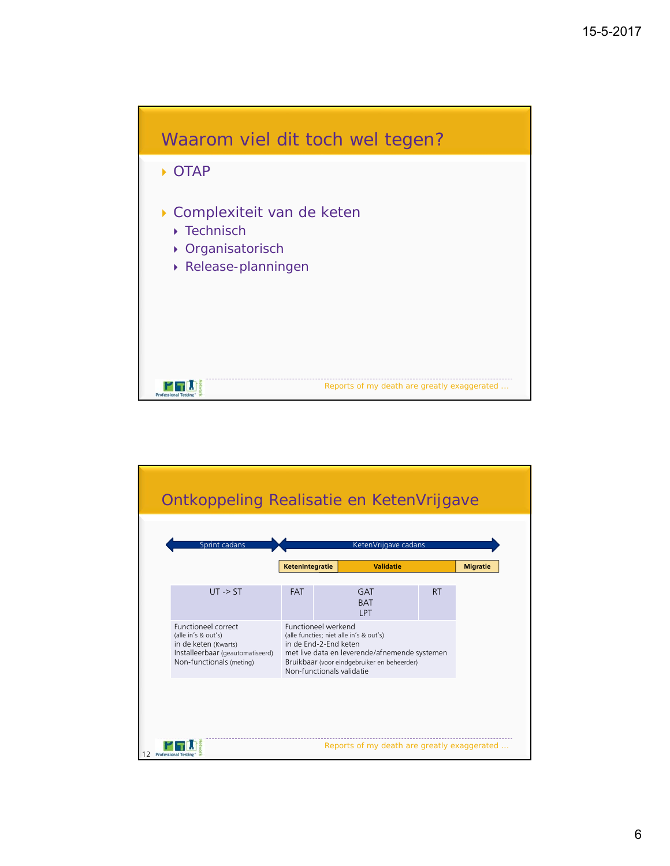

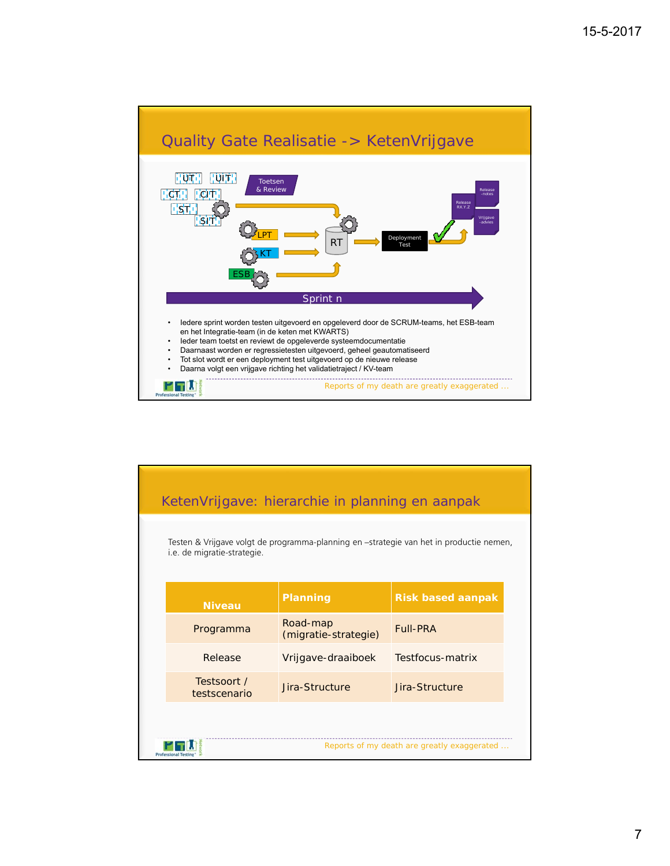

| KetenVrijgave: hierarchie in planning en aanpak                                                                        |                                  |                          |
|------------------------------------------------------------------------------------------------------------------------|----------------------------------|--------------------------|
| Testen & Vrijgave volgt de programma-planning en -strategie van het in productie nemen,<br>i.e. de migratie-strategie. |                                  |                          |
| <b>Niveau</b>                                                                                                          | Planning                         | <b>Risk based aanpak</b> |
| Programma                                                                                                              | Road-map<br>(migratie-strategie) | <b>Full-PRA</b>          |
| Release                                                                                                                | Vrijgave-draaiboek               | Testfocus-matrix         |
| Testsoort /<br>testscenario                                                                                            | Jira-Structure                   | Jira-Structure           |
|                                                                                                                        |                                  |                          |
| Reports of my death are greatly exaggerated                                                                            |                                  |                          |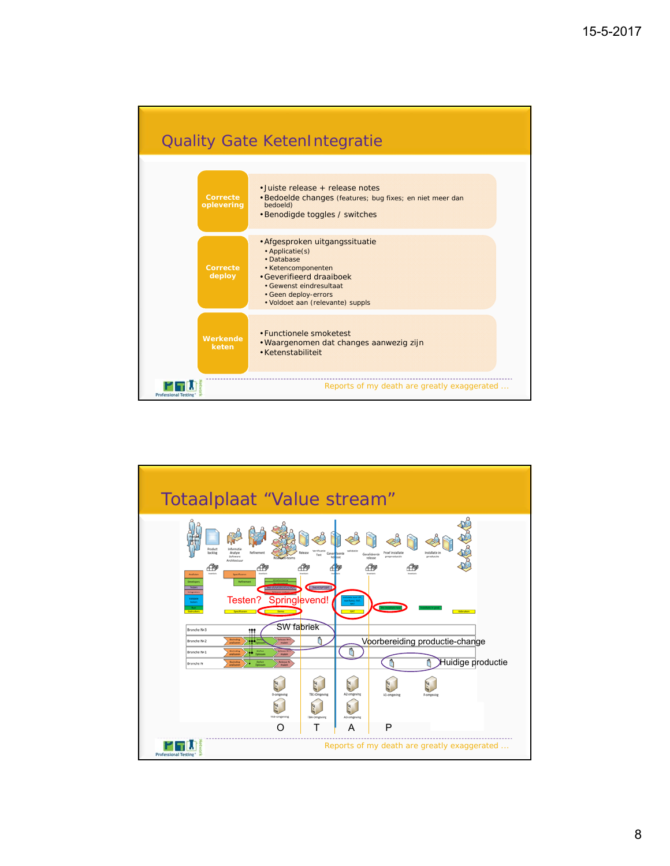

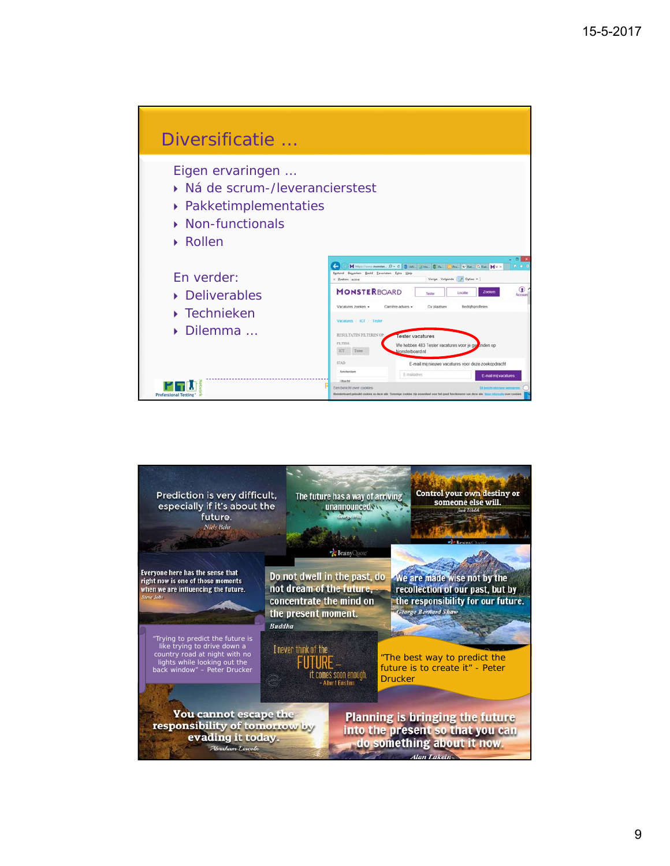